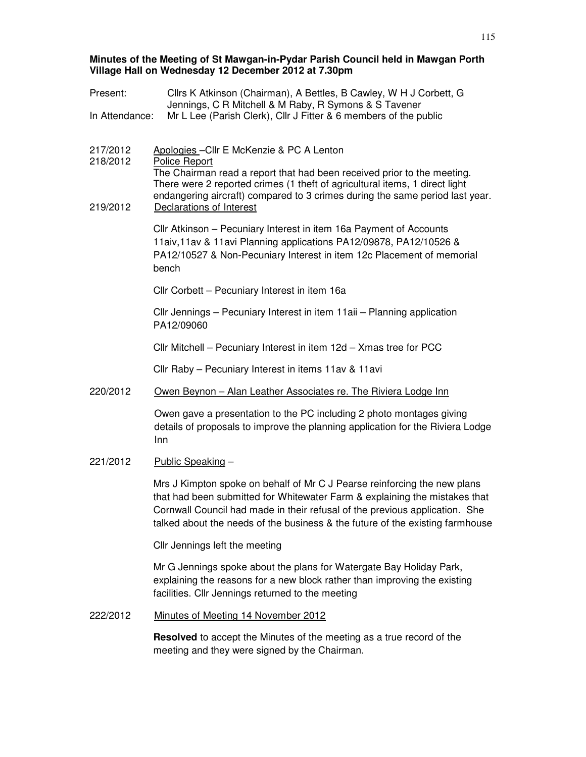# **Minutes of the Meeting of St Mawgan-in-Pydar Parish Council held in Mawgan Porth Village Hall on Wednesday 12 December 2012 at 7.30pm**

| Present:             | Cllrs K Atkinson (Chairman), A Bettles, B Cawley, W H J Corbett, G<br>Jennings, C R Mitchell & M Raby, R Symons & S Tavener                                                                                                                                                                                            |
|----------------------|------------------------------------------------------------------------------------------------------------------------------------------------------------------------------------------------------------------------------------------------------------------------------------------------------------------------|
| In Attendance:       | Mr L Lee (Parish Clerk), Cllr J Fitter & 6 members of the public                                                                                                                                                                                                                                                       |
|                      |                                                                                                                                                                                                                                                                                                                        |
| 217/2012<br>218/2012 | Apologies - Cllr E McKenzie & PC A Lenton<br>Police Report                                                                                                                                                                                                                                                             |
| 219/2012             | The Chairman read a report that had been received prior to the meeting.<br>There were 2 reported crimes (1 theft of agricultural items, 1 direct light<br>endangering aircraft) compared to 3 crimes during the same period last year.<br>Declarations of Interest                                                     |
|                      |                                                                                                                                                                                                                                                                                                                        |
|                      | Cllr Atkinson - Pecuniary Interest in item 16a Payment of Accounts<br>11aiv, 11av & 11avi Planning applications PA12/09878, PA12/10526 &<br>PA12/10527 & Non-Pecuniary Interest in item 12c Placement of memorial<br>bench                                                                                             |
|                      | Cllr Corbett - Pecuniary Interest in item 16a                                                                                                                                                                                                                                                                          |
|                      | Cllr Jennings - Pecuniary Interest in item 11aii - Planning application<br>PA12/09060                                                                                                                                                                                                                                  |
|                      | Cllr Mitchell - Pecuniary Interest in item 12d - Xmas tree for PCC                                                                                                                                                                                                                                                     |
|                      | Cllr Raby - Pecuniary Interest in items 11av & 11avi                                                                                                                                                                                                                                                                   |
| 220/2012             | Owen Beynon - Alan Leather Associates re. The Riviera Lodge Inn                                                                                                                                                                                                                                                        |
|                      | Owen gave a presentation to the PC including 2 photo montages giving<br>details of proposals to improve the planning application for the Riviera Lodge<br>Inn                                                                                                                                                          |
| 221/2012             | Public Speaking -                                                                                                                                                                                                                                                                                                      |
|                      | Mrs J Kimpton spoke on behalf of Mr C J Pearse reinforcing the new plans<br>that had been submitted for Whitewater Farm & explaining the mistakes that<br>Cornwall Council had made in their refusal of the previous application. She<br>talked about the needs of the business & the future of the existing farmhouse |
|                      | Cllr Jennings left the meeting                                                                                                                                                                                                                                                                                         |
|                      | Mr G Jennings spoke about the plans for Watergate Bay Holiday Park,<br>explaining the reasons for a new block rather than improving the existing<br>facilities. Cllr Jennings returned to the meeting                                                                                                                  |
| 222/2012             | Minutes of Meeting 14 November 2012                                                                                                                                                                                                                                                                                    |
|                      | <b>Resolved</b> to accept the Minutes of the meeting as a true record of the                                                                                                                                                                                                                                           |

meeting and they were signed by the Chairman.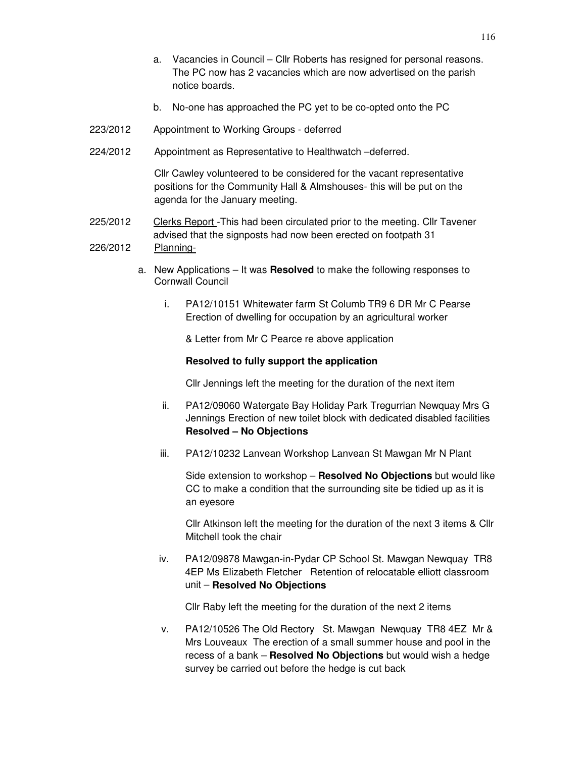- a. Vacancies in Council Cllr Roberts has resigned for personal reasons. The PC now has 2 vacancies which are now advertised on the parish notice boards.
- b. No-one has approached the PC yet to be co-opted onto the PC
- 223/2012 Appointment to Working Groups deferred
- 224/2012 Appointment as Representative to Healthwatch –deferred.

Cllr Cawley volunteered to be considered for the vacant representative positions for the Community Hall & Almshouses- this will be put on the agenda for the January meeting.

- 225/2012 Clerks Report -This had been circulated prior to the meeting. Cllr Tavener advised that the signposts had now been erected on footpath 31 226/2012 Planning
	- a. New Applications It was **Resolved** to make the following responses to Cornwall Council
		- i. PA12/10151 Whitewater farm St Columb TR9 6 DR Mr C Pearse Erection of dwelling for occupation by an agricultural worker

& Letter from Mr C Pearce re above application

#### **Resolved to fully support the application**

Cllr Jennings left the meeting for the duration of the next item

- ii. PA12/09060 Watergate Bay Holiday Park Tregurrian Newquay Mrs G Jennings Erection of new toilet block with dedicated disabled facilities **Resolved – No Objections**
- iii. PA12/10232 Lanvean Workshop Lanvean St Mawgan Mr N Plant

Side extension to workshop – **Resolved No Objections** but would like CC to make a condition that the surrounding site be tidied up as it is an eyesore

Cllr Atkinson left the meeting for the duration of the next 3 items & Cllr Mitchell took the chair

iv. PA12/09878 Mawgan-in-Pydar CP School St. Mawgan Newquay TR8 4EP Ms Elizabeth Fletcher Retention of relocatable elliott classroom unit – **Resolved No Objections**

Cllr Raby left the meeting for the duration of the next 2 items

v. PA12/10526 The Old Rectory St. Mawgan Newquay TR8 4EZ Mr & Mrs Louveaux The erection of a small summer house and pool in the recess of a bank – **Resolved No Objections** but would wish a hedge survey be carried out before the hedge is cut back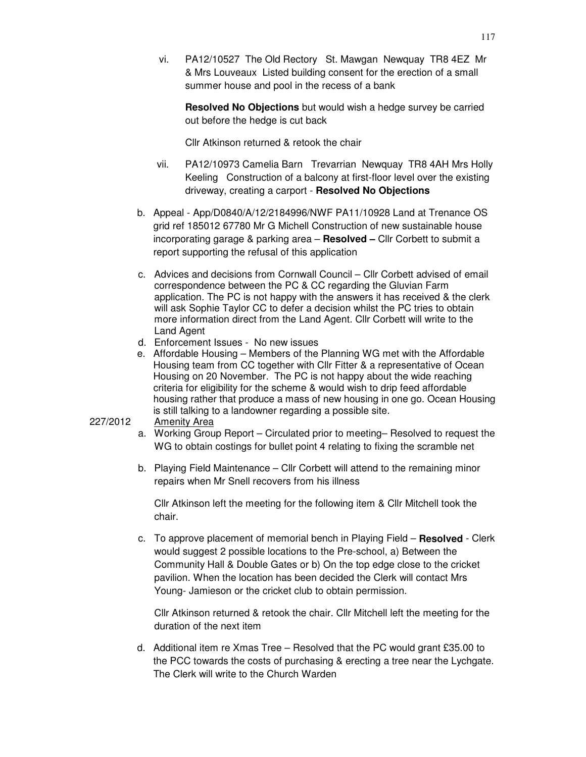vi. PA12/10527 The Old Rectory St. Mawgan Newquay TR8 4EZ Mr & Mrs Louveaux Listed building consent for the erection of a small summer house and pool in the recess of a bank

**Resolved No Objections** but would wish a hedge survey be carried out before the hedge is cut back

Cllr Atkinson returned & retook the chair

- vii. PA12/10973 Camelia Barn Trevarrian Newquay TR8 4AH Mrs Holly Keeling Construction of a balcony at first-floor level over the existing driveway, creating a carport - **Resolved No Objections**
- b. Appeal App/D0840/A/12/2184996/NWF PA11/10928 Land at Trenance OS grid ref 185012 67780 Mr G Michell Construction of new sustainable house incorporating garage & parking area – **Resolved –** Cllr Corbett to submit a report supporting the refusal of this application
- c. Advices and decisions from Cornwall Council Cllr Corbett advised of email correspondence between the PC & CC regarding the Gluvian Farm application. The PC is not happy with the answers it has received & the clerk will ask Sophie Taylor CC to defer a decision whilst the PC tries to obtain more information direct from the Land Agent. Cllr Corbett will write to the Land Agent
- d. Enforcement Issues No new issues
- e. Affordable Housing Members of the Planning WG met with the Affordable Housing team from CC together with Cllr Fitter & a representative of Ocean Housing on 20 November. The PC is not happy about the wide reaching criteria for eligibility for the scheme & would wish to drip feed affordable housing rather that produce a mass of new housing in one go. Ocean Housing is still talking to a landowner regarding a possible site.

#### 227/2012 Amenity Area

- a. Working Group Report Circulated prior to meeting– Resolved to request the WG to obtain costings for bullet point 4 relating to fixing the scramble net
- b. Playing Field Maintenance Cllr Corbett will attend to the remaining minor repairs when Mr Snell recovers from his illness

Cllr Atkinson left the meeting for the following item & Cllr Mitchell took the chair.

c. To approve placement of memorial bench in Playing Field – **Resolved** - Clerk would suggest 2 possible locations to the Pre-school, a) Between the Community Hall & Double Gates or b) On the top edge close to the cricket pavilion. When the location has been decided the Clerk will contact Mrs Young- Jamieson or the cricket club to obtain permission.

Cllr Atkinson returned & retook the chair. Cllr Mitchell left the meeting for the duration of the next item

d. Additional item re Xmas Tree – Resolved that the PC would grant £35.00 to the PCC towards the costs of purchasing & erecting a tree near the Lychgate. The Clerk will write to the Church Warden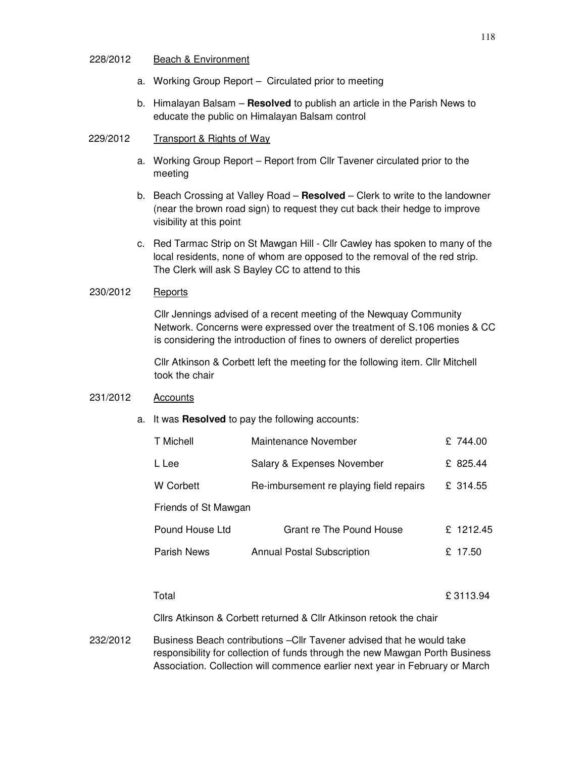## 228/2012 Beach & Environment

- a. Working Group Report Circulated prior to meeting
- b. Himalayan Balsam **Resolved** to publish an article in the Parish News to educate the public on Himalayan Balsam control
- 229/2012 Transport & Rights of Way
	- a. Working Group Report Report from Cllr Tavener circulated prior to the meeting
	- b. Beach Crossing at Valley Road **Resolved** Clerk to write to the landowner (near the brown road sign) to request they cut back their hedge to improve visibility at this point
	- c. Red Tarmac Strip on St Mawgan Hill Cllr Cawley has spoken to many of the local residents, none of whom are opposed to the removal of the red strip. The Clerk will ask S Bayley CC to attend to this

# 230/2012 Reports

Cllr Jennings advised of a recent meeting of the Newquay Community Network. Concerns were expressed over the treatment of S.106 monies & CC is considering the introduction of fines to owners of derelict properties

Cllr Atkinson & Corbett left the meeting for the following item. Cllr Mitchell took the chair

# 231/2012 Accounts

a. It was **Resolved** to pay the following accounts:

| T Michell            | Maintenance November                    | £ 744.00     |  |  |
|----------------------|-----------------------------------------|--------------|--|--|
| L Lee                | Salary & Expenses November              | 825.44<br>£. |  |  |
| W Corbett            | Re-imbursement re playing field repairs | £ 314.55     |  |  |
| Friends of St Mawgan |                                         |              |  |  |
| Pound House Ltd      | Grant re The Pound House                | £ 1212.45    |  |  |
| Parish News          | <b>Annual Postal Subscription</b>       | 17.50<br>£.  |  |  |
|                      |                                         |              |  |  |

 $\Gamma$  Total  $\Gamma$  3113.94

Cllrs Atkinson & Corbett returned & Cllr Atkinson retook the chair

232/2012 Business Beach contributions –Cllr Tavener advised that he would take responsibility for collection of funds through the new Mawgan Porth Business Association. Collection will commence earlier next year in February or March